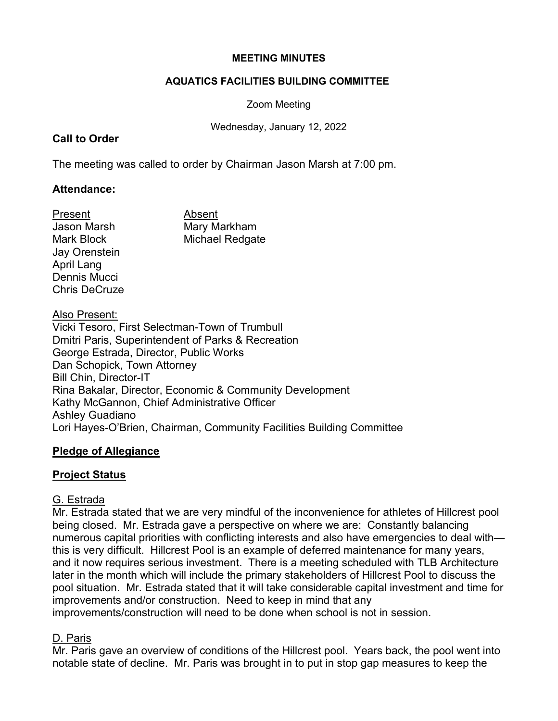#### **MEETING MINUTES**

#### **AQUATICS FACILITIES BUILDING COMMITTEE**

Zoom Meeting

Wednesday, January 12, 2022

## **Call to Order**

The meeting was called to order by Chairman Jason Marsh at 7:00 pm.

## **Attendance:**

Present Absent Jay Orenstein April Lang Dennis Mucci Chris DeCruze

Jason Marsh Mary Markham Mark Block Michael Redgate

## Also Present:

Vicki Tesoro, First Selectman-Town of Trumbull Dmitri Paris, Superintendent of Parks & Recreation George Estrada, Director, Public Works Dan Schopick, Town Attorney Bill Chin, Director-IT Rina Bakalar, Director, Economic & Community Development Kathy McGannon, Chief Administrative Officer Ashley Guadiano Lori Hayes-O'Brien, Chairman, Community Facilities Building Committee

### **Pledge of Allegiance**

# **Project Status**

# G. Estrada

Mr. Estrada stated that we are very mindful of the inconvenience for athletes of Hillcrest pool being closed. Mr. Estrada gave a perspective on where we are: Constantly balancing numerous capital priorities with conflicting interests and also have emergencies to deal with this is very difficult. Hillcrest Pool is an example of deferred maintenance for many years, and it now requires serious investment. There is a meeting scheduled with TLB Architecture later in the month which will include the primary stakeholders of Hillcrest Pool to discuss the pool situation. Mr. Estrada stated that it will take considerable capital investment and time for improvements and/or construction. Need to keep in mind that any

improvements/construction will need to be done when school is not in session.

# D. Paris

Mr. Paris gave an overview of conditions of the Hillcrest pool. Years back, the pool went into notable state of decline. Mr. Paris was brought in to put in stop gap measures to keep the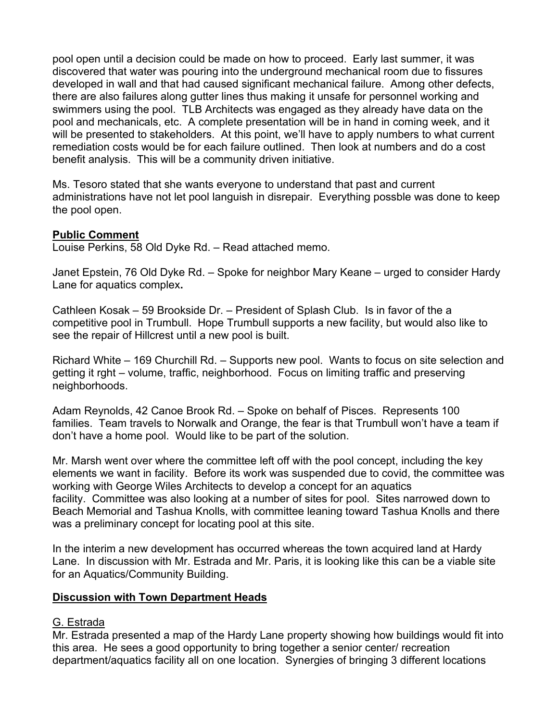pool open until a decision could be made on how to proceed. Early last summer, it was discovered that water was pouring into the underground mechanical room due to fissures developed in wall and that had caused significant mechanical failure. Among other defects, there are also failures along gutter lines thus making it unsafe for personnel working and swimmers using the pool. TLB Architects was engaged as they already have data on the pool and mechanicals, etc. A complete presentation will be in hand in coming week, and it will be presented to stakeholders. At this point, we'll have to apply numbers to what current remediation costs would be for each failure outlined. Then look at numbers and do a cost benefit analysis. This will be a community driven initiative.

Ms. Tesoro stated that she wants everyone to understand that past and current administrations have not let pool languish in disrepair. Everything possble was done to keep the pool open.

## **Public Comment**

Louise Perkins, 58 Old Dyke Rd. – Read attached memo.

Janet Epstein, 76 Old Dyke Rd. – Spoke for neighbor Mary Keane – urged to consider Hardy Lane for aquatics complex**.**

Cathleen Kosak – 59 Brookside Dr. – President of Splash Club. Is in favor of the a competitive pool in Trumbull. Hope Trumbull supports a new facility, but would also like to see the repair of Hillcrest until a new pool is built.

Richard White – 169 Churchill Rd. – Supports new pool. Wants to focus on site selection and getting it rght – volume, traffic, neighborhood. Focus on limiting traffic and preserving neighborhoods.

Adam Reynolds, 42 Canoe Brook Rd. – Spoke on behalf of Pisces. Represents 100 families. Team travels to Norwalk and Orange, the fear is that Trumbull won't have a team if don't have a home pool. Would like to be part of the solution.

Mr. Marsh went over where the committee left off with the pool concept, including the key elements we want in facility. Before its work was suspended due to covid, the committee was working with George Wiles Architects to develop a concept for an aquatics facility. Committee was also looking at a number of sites for pool. Sites narrowed down to Beach Memorial and Tashua Knolls, with committee leaning toward Tashua Knolls and there was a preliminary concept for locating pool at this site.

In the interim a new development has occurred whereas the town acquired land at Hardy Lane. In discussion with Mr. Estrada and Mr. Paris, it is looking like this can be a viable site for an Aquatics/Community Building.

# **Discussion with Town Department Heads**

### G. Estrada

Mr. Estrada presented a map of the Hardy Lane property showing how buildings would fit into this area. He sees a good opportunity to bring together a senior center/ recreation department/aquatics facility all on one location. Synergies of bringing 3 different locations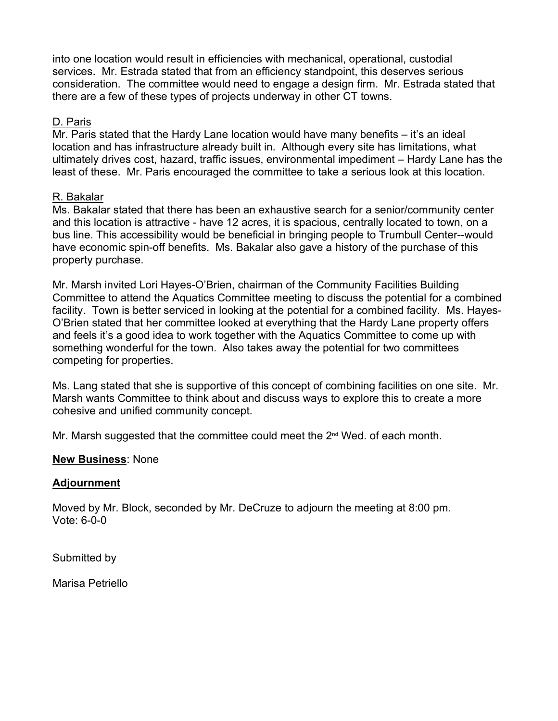into one location would result in efficiencies with mechanical, operational, custodial services. Mr. Estrada stated that from an efficiency standpoint, this deserves serious consideration. The committee would need to engage a design firm. Mr. Estrada stated that there are a few of these types of projects underway in other CT towns.

### D. Paris

Mr. Paris stated that the Hardy Lane location would have many benefits – it's an ideal location and has infrastructure already built in. Although every site has limitations, what ultimately drives cost, hazard, traffic issues, environmental impediment – Hardy Lane has the least of these. Mr. Paris encouraged the committee to take a serious look at this location.

## R. Bakalar

Ms. Bakalar stated that there has been an exhaustive search for a senior/community center and this location is attractive - have 12 acres, it is spacious, centrally located to town, on a bus line. This accessibility would be beneficial in bringing people to Trumbull Center--would have economic spin-off benefits. Ms. Bakalar also gave a history of the purchase of this property purchase.

Mr. Marsh invited Lori Hayes-O'Brien, chairman of the Community Facilities Building Committee to attend the Aquatics Committee meeting to discuss the potential for a combined facility. Town is better serviced in looking at the potential for a combined facility. Ms. Hayes-O'Brien stated that her committee looked at everything that the Hardy Lane property offers and feels it's a good idea to work together with the Aquatics Committee to come up with something wonderful for the town. Also takes away the potential for two committees competing for properties.

Ms. Lang stated that she is supportive of this concept of combining facilities on one site. Mr. Marsh wants Committee to think about and discuss ways to explore this to create a more cohesive and unified community concept.

Mr. Marsh suggested that the committee could meet the  $2<sup>nd</sup>$  Wed. of each month.

### **New Business**: None

### **Adjournment**

Moved by Mr. Block, seconded by Mr. DeCruze to adjourn the meeting at 8:00 pm. Vote: 6-0-0

Submitted by

Marisa Petriello